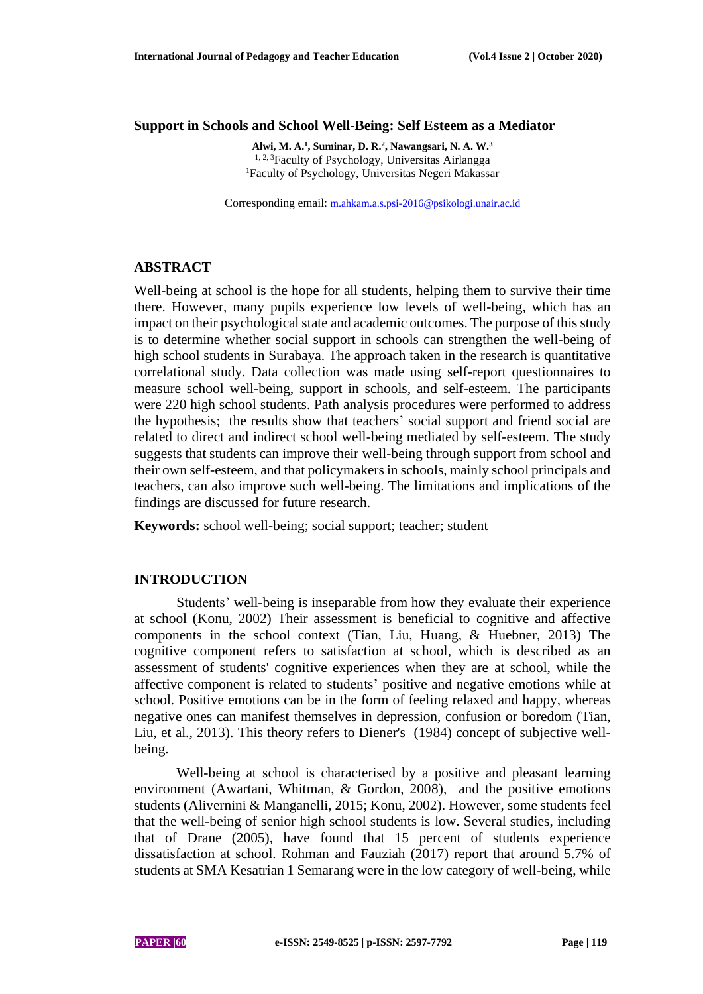## **Support in Schools and School Well-Being: Self Esteem as a Mediator**

**Alwi, M. A.<sup>1</sup> , Suminar, D. R.<sup>2</sup> , Nawangsari, N. A. W.<sup>3</sup>** 1, 2, <sup>3</sup>Faculty of Psychology, Universitas Airlangga <sup>1</sup>Faculty of Psychology, Universitas Negeri Makassar

Corresponding email: [m.ahkam.a.s.psi-2016@psikologi.unair.ac.id](mailto:m.ahkam.a.s.psi-2016@psikologi.unair.ac.id)

# **ABSTRACT**

Well-being at school is the hope for all students, helping them to survive their time there. However, many pupils experience low levels of well-being, which has an impact on their psychological state and academic outcomes. The purpose of this study is to determine whether social support in schools can strengthen the well-being of high school students in Surabaya. The approach taken in the research is quantitative correlational study. Data collection was made using self-report questionnaires to measure school well-being, support in schools, and self-esteem. The participants were 220 high school students. Path analysis procedures were performed to address the hypothesis; the results show that teachers' social support and friend social are related to direct and indirect school well-being mediated by self-esteem. The study suggests that students can improve their well-being through support from school and their own self-esteem, and that policymakers in schools, mainly school principals and teachers, can also improve such well-being. The limitations and implications of the findings are discussed for future research.

**Keywords:** school well-being; social support; teacher; student

## **INTRODUCTION**

Students' well-being is inseparable from how they evaluate their experience at school (Konu, 2002) Their assessment is beneficial to cognitive and affective components in the school context (Tian, Liu, Huang, & Huebner, 2013) The cognitive component refers to satisfaction at school, which is described as an assessment of students' cognitive experiences when they are at school, while the affective component is related to students' positive and negative emotions while at school. Positive emotions can be in the form of feeling relaxed and happy, whereas negative ones can manifest themselves in depression, confusion or boredom (Tian, Liu, et al., 2013). This theory refers to Diener's (1984) concept of subjective wellbeing.

Well-being at school is characterised by a positive and pleasant learning environment (Awartani, Whitman, & Gordon, 2008), and the positive emotions students (Alivernini & Manganelli, 2015; Konu, 2002). However, some students feel that the well-being of senior high school students is low. Several studies, including that of Drane (2005), have found that 15 percent of students experience dissatisfaction at school. Rohman and Fauziah (2017) report that around 5.7% of students at SMA Kesatrian 1 Semarang were in the low category of well-being, while

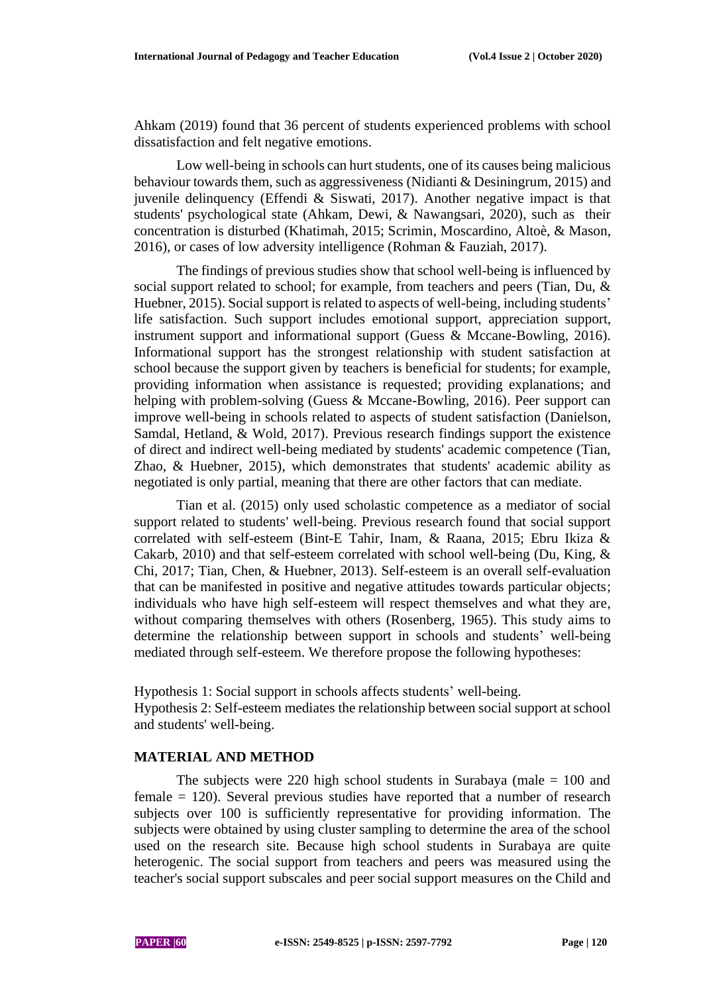Ahkam (2019) found that 36 percent of students experienced problems with school dissatisfaction and felt negative emotions.

Low well-being in schools can hurt students, one of its causes being malicious behaviour towards them, such as aggressiveness (Nidianti & Desiningrum, 2015) and juvenile delinquency (Effendi & Siswati, 2017). Another negative impact is that students' psychological state (Ahkam, Dewi, & Nawangsari, 2020), such as their concentration is disturbed (Khatimah, 2015; Scrimin, Moscardino, Altoè, & Mason, 2016), or cases of low adversity intelligence (Rohman & Fauziah, 2017).

The findings of previous studies show that school well-being is influenced by social support related to school; for example, from teachers and peers (Tian, Du, & Huebner, 2015). Social support is related to aspects of well-being, including students' life satisfaction. Such support includes emotional support, appreciation support, instrument support and informational support (Guess & Mccane-Bowling, 2016). Informational support has the strongest relationship with student satisfaction at school because the support given by teachers is beneficial for students; for example, providing information when assistance is requested; providing explanations; and helping with problem-solving (Guess & Mccane-Bowling, 2016). Peer support can improve well-being in schools related to aspects of student satisfaction (Danielson, Samdal, Hetland, & Wold, 2017). Previous research findings support the existence of direct and indirect well-being mediated by students' academic competence (Tian, Zhao, & Huebner, 2015), which demonstrates that students' academic ability as negotiated is only partial, meaning that there are other factors that can mediate.

Tian et al. (2015) only used scholastic competence as a mediator of social support related to students' well-being. Previous research found that social support correlated with self-esteem (Bint-E Tahir, Inam, & Raana, 2015; Ebru Ikiza & Cakarb, 2010) and that self-esteem correlated with school well-being (Du, King, & Chi, 2017; Tian, Chen, & Huebner, 2013). Self-esteem is an overall self-evaluation that can be manifested in positive and negative attitudes towards particular objects; individuals who have high self-esteem will respect themselves and what they are, without comparing themselves with others (Rosenberg, 1965). This study aims to determine the relationship between support in schools and students' well-being mediated through self-esteem. We therefore propose the following hypotheses:

Hypothesis 1: Social support in schools affects students' well-being. Hypothesis 2: Self-esteem mediates the relationship between social support at school and students' well-being.

## **MATERIAL AND METHOD**

The subjects were 220 high school students in Surabaya (male  $= 100$  and female = 120). Several previous studies have reported that a number of research subjects over 100 is sufficiently representative for providing information. The subjects were obtained by using cluster sampling to determine the area of the school used on the research site. Because high school students in Surabaya are quite heterogenic. The social support from teachers and peers was measured using the teacher's social support subscales and peer social support measures on the Child and

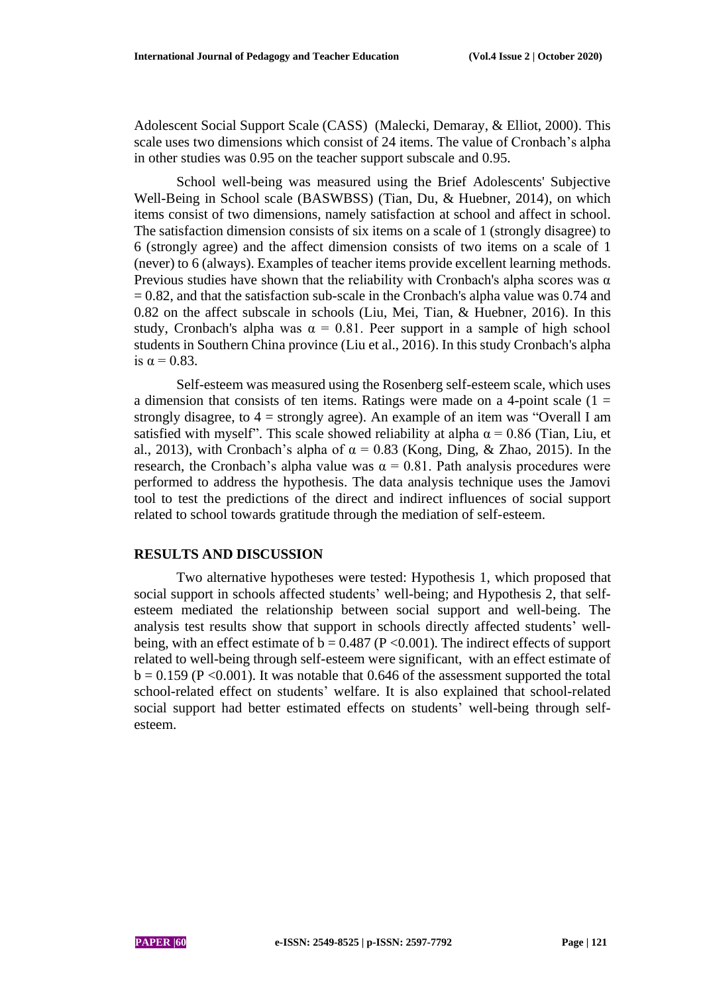Adolescent Social Support Scale (CASS) (Malecki, Demaray, & Elliot, 2000). This scale uses two dimensions which consist of 24 items. The value of Cronbach's alpha in other studies was 0.95 on the teacher support subscale and 0.95.

School well-being was measured using the Brief Adolescents' Subjective Well-Being in School scale (BASWBSS) (Tian, Du, & Huebner, 2014), on which items consist of two dimensions, namely satisfaction at school and affect in school. The satisfaction dimension consists of six items on a scale of 1 (strongly disagree) to 6 (strongly agree) and the affect dimension consists of two items on a scale of 1 (never) to 6 (always). Examples of teacher items provide excellent learning methods. Previous studies have shown that the reliability with Cronbach's alpha scores was  $\alpha$  $= 0.82$ , and that the satisfaction sub-scale in the Cronbach's alpha value was 0.74 and 0.82 on the affect subscale in schools (Liu, Mei, Tian, & Huebner, 2016). In this study, Cronbach's alpha was  $\alpha = 0.81$ . Peer support in a sample of high school students in Southern China province (Liu et al., 2016). In this study Cronbach's alpha is  $\alpha = 0.83$ .

Self-esteem was measured using the Rosenberg self-esteem scale, which uses a dimension that consists of ten items. Ratings were made on a 4-point scale  $(1 =$ strongly disagree, to  $4 =$  strongly agree). An example of an item was "Overall I am satisfied with myself". This scale showed reliability at alpha  $\alpha$  = 0.86 (Tian, Liu, et al., 2013), with Cronbach's alpha of  $\alpha = 0.83$  (Kong, Ding, & Zhao, 2015). In the research, the Cronbach's alpha value was  $\alpha = 0.81$ . Path analysis procedures were performed to address the hypothesis. The data analysis technique uses the Jamovi tool to test the predictions of the direct and indirect influences of social support related to school towards gratitude through the mediation of self-esteem.

### **RESULTS AND DISCUSSION**

Two alternative hypotheses were tested: Hypothesis 1, which proposed that social support in schools affected students' well-being; and Hypothesis 2, that selfesteem mediated the relationship between social support and well-being. The analysis test results show that support in schools directly affected students' wellbeing, with an effect estimate of  $b = 0.487$  (P < 0.001). The indirect effects of support related to well-being through self-esteem were significant, with an effect estimate of  $b = 0.159$  (P < 0.001). It was notable that 0.646 of the assessment supported the total school-related effect on students' welfare. It is also explained that school-related social support had better estimated effects on students' well-being through selfesteem.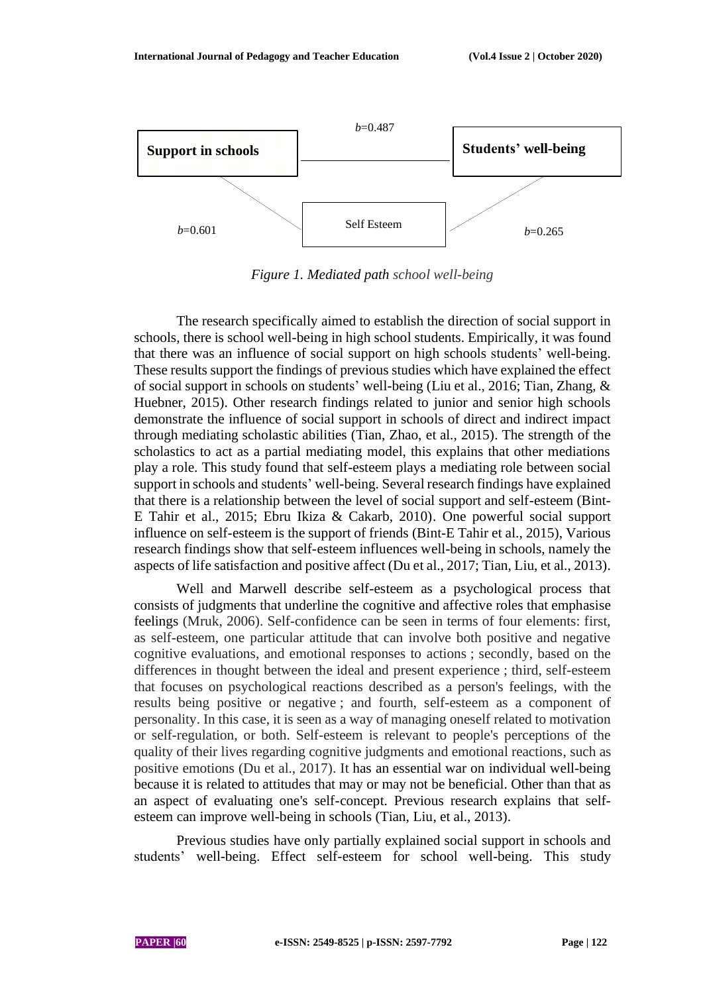

*Figure 1. Mediated path school well-being*

The research specifically aimed to establish the direction of social support in schools, there is school well-being in high school students. Empirically, it was found that there was an influence of social support on high schools students' well-being. These results support the findings of previous studies which have explained the effect of social support in schools on students' well-being (Liu et al., 2016; Tian, Zhang, & Huebner, 2015). Other research findings related to junior and senior high schools demonstrate the influence of social support in schools of direct and indirect impact through mediating scholastic abilities (Tian, Zhao, et al., 2015). The strength of the scholastics to act as a partial mediating model, this explains that other mediations play a role. This study found that self-esteem plays a mediating role between social support in schools and students' well-being. Several research findings have explained that there is a relationship between the level of social support and self-esteem (Bint-E Tahir et al., 2015; Ebru Ikiza & Cakarb, 2010). One powerful social support influence on self-esteem is the support of friends (Bint-E Tahir et al., 2015), Various research findings show that self-esteem influences well-being in schools, namely the aspects of life satisfaction and positive affect (Du et al., 2017; Tian, Liu, et al., 2013).

Well and Marwell describe self-esteem as a psychological process that consists of judgments that underline the cognitive and affective roles that emphasise feelings (Mruk, 2006). Self-confidence can be seen in terms of four elements: first, as self-esteem, one particular attitude that can involve both positive and negative cognitive evaluations, and emotional responses to actions ; secondly, based on the differences in thought between the ideal and present experience ; third, self-esteem that focuses on psychological reactions described as a person's feelings, with the results being positive or negative ; and fourth, self-esteem as a component of personality. In this case, it is seen as a way of managing oneself related to motivation or self-regulation, or both. Self-esteem is relevant to people's perceptions of the quality of their lives regarding cognitive judgments and emotional reactions, such as positive emotions (Du et al., 2017). It has an essential war on individual well-being because it is related to attitudes that may or may not be beneficial. Other than that as an aspect of evaluating one's self-concept. Previous research explains that selfesteem can improve well-being in schools (Tian, Liu, et al., 2013).

Previous studies have only partially explained social support in schools and students' well-being. Effect self-esteem for school well-being. This study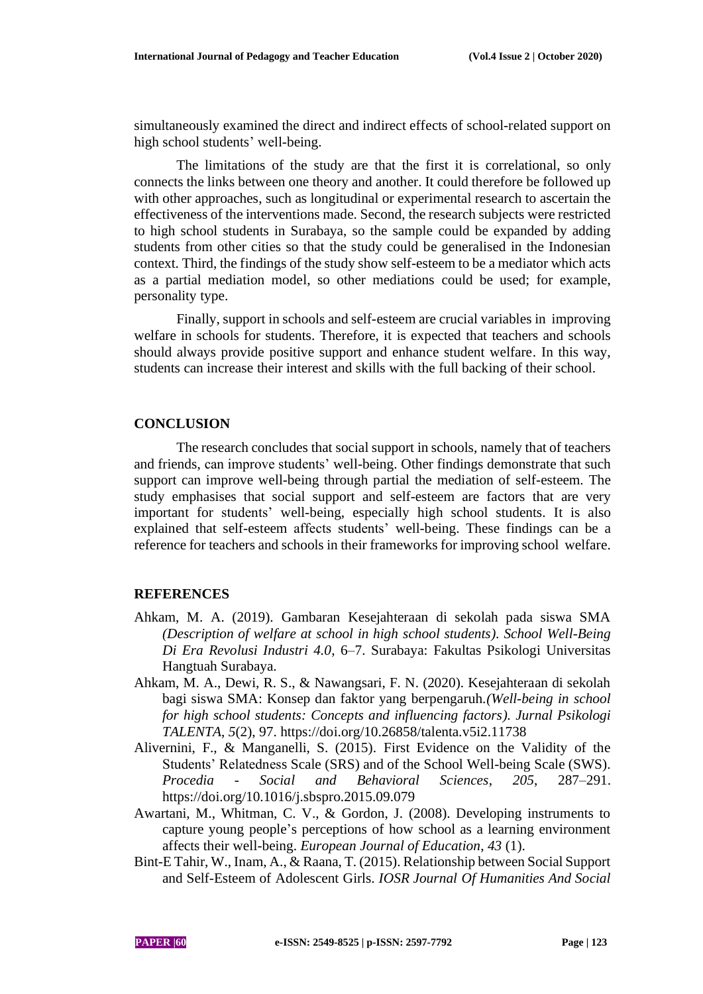simultaneously examined the direct and indirect effects of school-related support on high school students' well-being.

The limitations of the study are that the first it is correlational, so only connects the links between one theory and another. It could therefore be followed up with other approaches, such as longitudinal or experimental research to ascertain the effectiveness of the interventions made. Second, the research subjects were restricted to high school students in Surabaya, so the sample could be expanded by adding students from other cities so that the study could be generalised in the Indonesian context. Third, the findings of the study show self-esteem to be a mediator which acts as a partial mediation model, so other mediations could be used; for example, personality type.

Finally, support in schools and self-esteem are crucial variables in improving welfare in schools for students. Therefore, it is expected that teachers and schools should always provide positive support and enhance student welfare. In this way, students can increase their interest and skills with the full backing of their school.

## **CONCLUSION**

The research concludes that social support in schools, namely that of teachers and friends, can improve students' well-being. Other findings demonstrate that such support can improve well-being through partial the mediation of self-esteem. The study emphasises that social support and self-esteem are factors that are very important for students' well-being, especially high school students. It is also explained that self-esteem affects students' well-being. These findings can be a reference for teachers and schools in their frameworks for improving school welfare.

### **REFERENCES**

- Ahkam, M. A. (2019). Gambaran Kesejahteraan di sekolah pada siswa SMA *(Description of welfare at school in high school students). School Well-Being Di Era Revolusi Industri 4.0*, 6–7. Surabaya: Fakultas Psikologi Universitas Hangtuah Surabaya.
- Ahkam, M. A., Dewi, R. S., & Nawangsari, F. N. (2020). Kesejahteraan di sekolah bagi siswa SMA: Konsep dan faktor yang berpengaruh.*(Well-being in school for high school students: Concepts and influencing factors). Jurnal Psikologi TALENTA*, *5*(2), 97. https://doi.org/10.26858/talenta.v5i2.11738
- Alivernini, F., & Manganelli, S. (2015). First Evidence on the Validity of the Students' Relatedness Scale (SRS) and of the School Well-being Scale (SWS). *Procedia - Social and Behavioral Sciences*, *205*, 287–291. https://doi.org/10.1016/j.sbspro.2015.09.079
- Awartani, M., Whitman, C. V., & Gordon, J. (2008). Developing instruments to capture young people's perceptions of how school as a learning environment affects their well-being. *European Journal of Education*, *43* (1).
- Bint-E Tahir, W., Inam, A., & Raana, T. (2015). Relationship between Social Support and Self-Esteem of Adolescent Girls. *IOSR Journal Of Humanities And Social*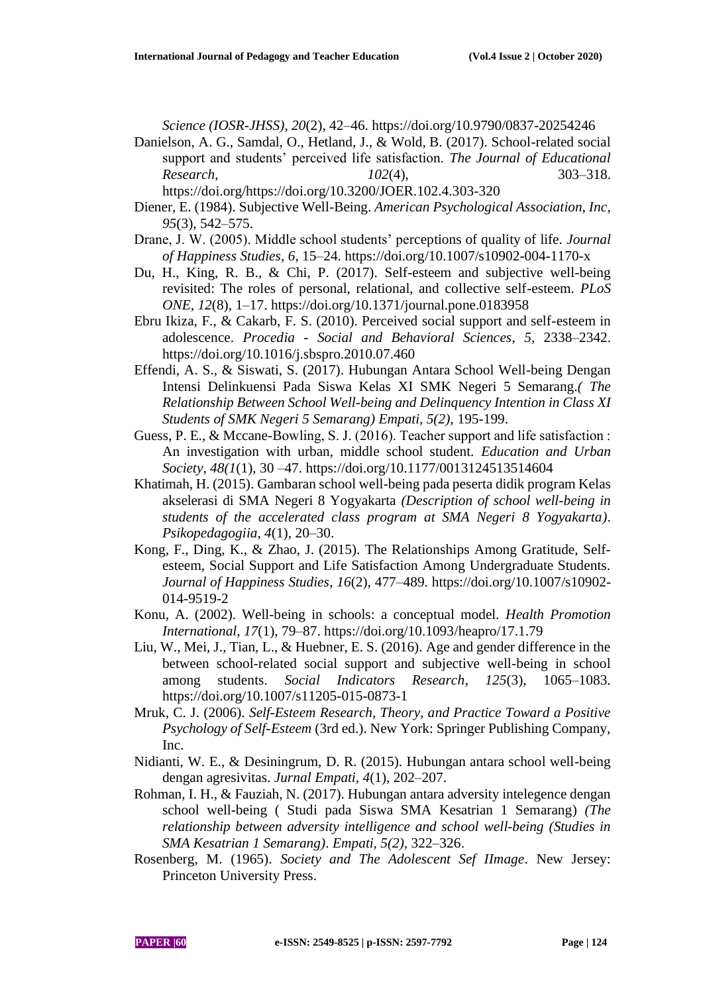*Science (IOSR-JHSS)*, *20*(2), 42–46. https://doi.org/10.9790/0837-20254246

- Danielson, A. G., Samdal, O., Hetland, J., & Wold, B. (2017). School-related social support and students' perceived life satisfaction. *The Journal of Educational Research*, *102*(4), 303–318. https://doi.org/https://doi.org/10.3200/JOER.102.4.303-320
- Diener, E. (1984). Subjective Well-Being. *American Psychological Association, Inc*, *95*(3), 542–575.
- Drane, J. W. (2005). Middle school students' perceptions of quality of life. *Journal of Happiness Studies*, *6*, 15–24. https://doi.org/10.1007/s10902-004-1170-x
- Du, H., King, R. B., & Chi, P. (2017). Self-esteem and subjective well-being revisited: The roles of personal, relational, and collective self-esteem. *PLoS ONE*, *12*(8), 1–17. https://doi.org/10.1371/journal.pone.0183958
- Ebru Ikiza, F., & Cakarb, F. S. (2010). Perceived social support and self-esteem in adolescence. *Procedia - Social and Behavioral Sciences*, *5*, 2338–2342. https://doi.org/10.1016/j.sbspro.2010.07.460
- Effendi, A. S., & Siswati, S. (2017). Hubungan Antara School Well-being Dengan Intensi Delinkuensi Pada Siswa Kelas XI SMK Negeri 5 Semarang.*( The Relationship Between School Well-being and Delinquency Intention in Class XI Students of SMK Negeri 5 Semarang) Empati, 5(2)*, 195-199.
- Guess, P. E., & Mccane-Bowling, S. J. (2016). Teacher support and life satisfaction : An investigation with urban, middle school student. *Education and Urban Society*, *48(1*(1), 30 –47. https://doi.org/10.1177/0013124513514604
- Khatimah, H. (2015). Gambaran school well-being pada peserta didik program Kelas akselerasi di SMA Negeri 8 Yogyakarta *(Description of school well-being in students of the accelerated class program at SMA Negeri 8 Yogyakarta)*. *Psikopedagogiia*, *4*(1), 20–30.
- Kong, F., Ding, K., & Zhao, J. (2015). The Relationships Among Gratitude, Selfesteem, Social Support and Life Satisfaction Among Undergraduate Students. *Journal of Happiness Studies*, *16*(2), 477–489. https://doi.org/10.1007/s10902- 014-9519-2
- Konu, A. (2002). Well-being in schools: a conceptual model. *Health Promotion International*, *17*(1), 79–87. https://doi.org/10.1093/heapro/17.1.79
- Liu, W., Mei, J., Tian, L., & Huebner, E. S. (2016). Age and gender difference in the between school-related social support and subjective well-being in school among students. *Social Indicators Research*, *125*(3), 1065–1083. https://doi.org/10.1007/s11205-015-0873-1
- Mruk, C. J. (2006). *Self-Esteem Research, Theory, and Practice Toward a Positive Psychology of Self-Esteem* (3rd ed.). New York: Springer Publishing Company, Inc.
- Nidianti, W. E., & Desiningrum, D. R. (2015). Hubungan antara school well-being dengan agresivitas. *Jurnal Empati, 4*(1), 202–207.
- Rohman, I. H., & Fauziah, N. (2017). Hubungan antara adversity intelegence dengan school well-being ( Studi pada Siswa SMA Kesatrian 1 Semarang) *(The relationship between adversity intelligence and school well-being (Studies in SMA Kesatrian 1 Semarang)*. *Empati, 5(2)*, 322–326.
- Rosenberg, M. (1965). *Society and The Adolescent Sef IImage*. New Jersey: Princeton University Press.